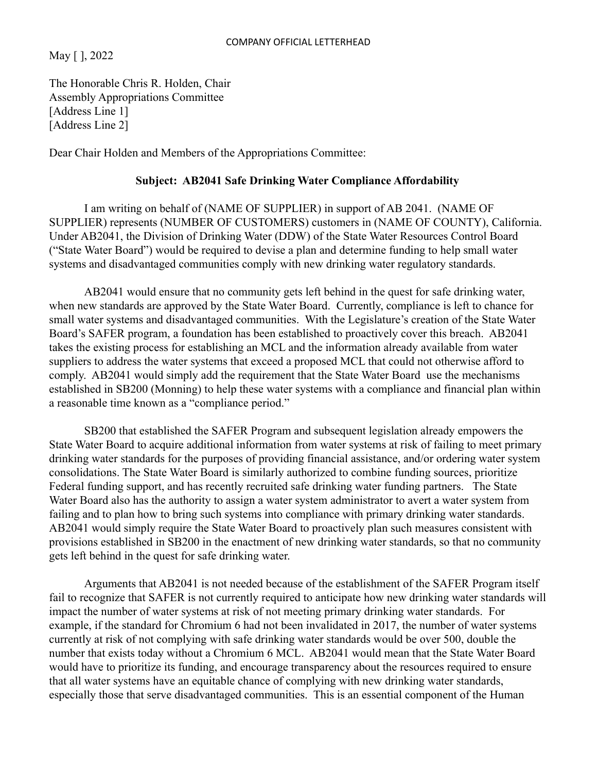May [ ], 2022

The Honorable Chris R. Holden, Chair Assembly Appropriations Committee [Address Line 1] [Address Line 2]

Dear Chair Holden and Members of the Appropriations Committee:

## **Subject: AB2041 Safe Drinking Water Compliance Affordability**

I am writing on behalf of (NAME OF SUPPLIER) in support of AB 2041. (NAME OF SUPPLIER) represents (NUMBER OF CUSTOMERS) customers in (NAME OF COUNTY), California. Under AB2041, the Division of Drinking Water (DDW) of the State Water Resources Control Board ("State Water Board") would be required to devise a plan and determine funding to help small water systems and disadvantaged communities comply with new drinking water regulatory standards.

AB2041 would ensure that no community gets left behind in the quest for safe drinking water, when new standards are approved by the State Water Board. Currently, compliance is left to chance for small water systems and disadvantaged communities. With the Legislature's creation of the State Water Board's SAFER program, a foundation has been established to proactively cover this breach. AB2041 takes the existing process for establishing an MCL and the information already available from water suppliers to address the water systems that exceed a proposed MCL that could not otherwise afford to comply. AB2041 would simply add the requirement that the State Water Board use the mechanisms established in SB200 (Monning) to help these water systems with a compliance and financial plan within a reasonable time known as a "compliance period."

SB200 that established the SAFER Program and subsequent legislation already empowers the State Water Board to acquire additional information from water systems at risk of failing to meet primary drinking water standards for the purposes of providing financial assistance, and/or ordering water system consolidations. The State Water Board is similarly authorized to combine funding sources, prioritize Federal funding support, and has recently recruited safe drinking water funding partners. The State Water Board also has the authority to assign a water system administrator to avert a water system from failing and to plan how to bring such systems into compliance with primary drinking water standards. AB2041 would simply require the State Water Board to proactively plan such measures consistent with provisions established in SB200 in the enactment of new drinking water standards, so that no community gets left behind in the quest for safe drinking water.

Arguments that AB2041 is not needed because of the establishment of the SAFER Program itself fail to recognize that SAFER is not currently required to anticipate how new drinking water standards will impact the number of water systems at risk of not meeting primary drinking water standards. For example, if the standard for Chromium 6 had not been invalidated in 2017, the number of water systems currently at risk of not complying with safe drinking water standards would be over 500, double the number that exists today without a Chromium 6 MCL. AB2041 would mean that the State Water Board would have to prioritize its funding, and encourage transparency about the resources required to ensure that all water systems have an equitable chance of complying with new drinking water standards, especially those that serve disadvantaged communities. This is an essential component of the Human